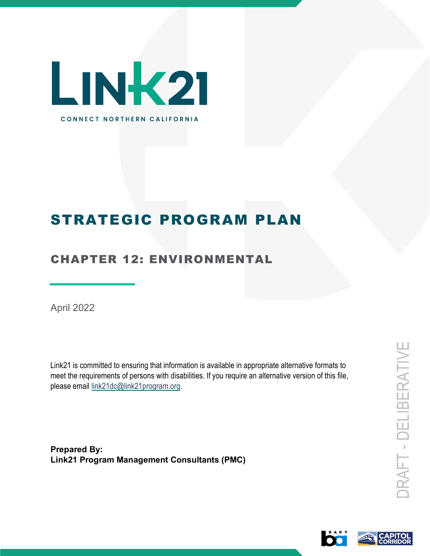

# STRATEGIC PROGRAM PLAN

# CHAPTER 12: ENVIRONMENTAL

April 2022

Link21 is committed to ensuring that information is available in appropriate alternative formats to meet the requirements of persons with disabilities. If you require an alternative version of this file, please email link21dc@link21program.org.

**Prepared By: Link21 Program Management Consultants (PMC)**

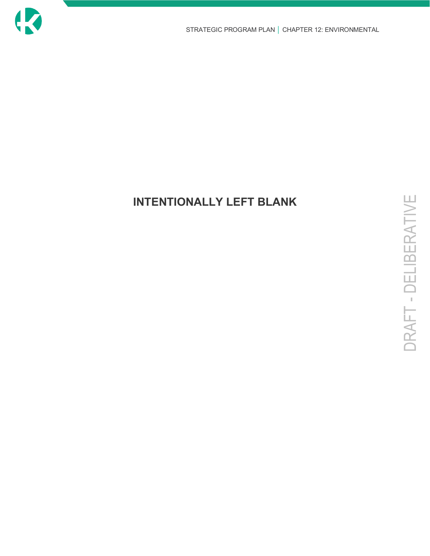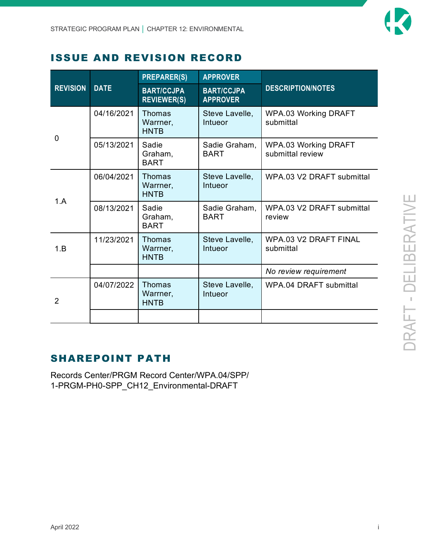

## ISSUE AND REVISION RECORD

| <b>REVISION</b> | <b>DATE</b> | <b>PREPARER(S)</b><br><b>BART/CCJPA</b>  | <b>APPROVER</b><br><b>BART/CCJPA</b> | <b>DESCRIPTION/NOTES</b>                        |
|-----------------|-------------|------------------------------------------|--------------------------------------|-------------------------------------------------|
|                 |             | <b>REVIEWER(S)</b>                       | <b>APPROVER</b>                      |                                                 |
| 0               | 04/16/2021  | Thomas<br>Warrner,<br><b>HNTB</b>        | Steve Lavelle,<br><b>Intueor</b>     | <b>WPA.03 Working DRAFT</b><br>submittal        |
|                 | 05/13/2021  | Sadie<br>Graham,<br><b>BART</b>          | Sadie Graham,<br><b>BART</b>         | <b>WPA.03 Working DRAFT</b><br>submittal review |
| 1.A             | 06/04/2021  | <b>Thomas</b><br>Warrner,<br><b>HNTB</b> | Steve Lavelle,<br>Intueor            | WPA.03 V2 DRAFT submittal                       |
|                 | 08/13/2021  | Sadie<br>Graham,<br><b>BART</b>          | Sadie Graham,<br><b>BART</b>         | WPA.03 V2 DRAFT submittal<br>review             |
| 1.B             | 11/23/2021  | Thomas<br>Warrner,<br><b>HNTB</b>        | Steve Lavelle,<br>Intueor            | <b>WPA.03 V2 DRAFT FINAL</b><br>submittal       |
|                 |             |                                          |                                      | No review requirement                           |
| $\mathcal{P}$   | 04/07/2022  | <b>Thomas</b><br>Warrner,<br><b>HNTB</b> | Steve Lavelle,<br>Intueor            | <b>WPA.04 DRAFT submittal</b>                   |
|                 |             |                                          |                                      |                                                 |

## SHAREPOINT PATH

Records Center/PRGM Record Center/WPA.04/SPP/ 1-PRGM-PH0-SPP\_CH12\_Environmental-DRAFT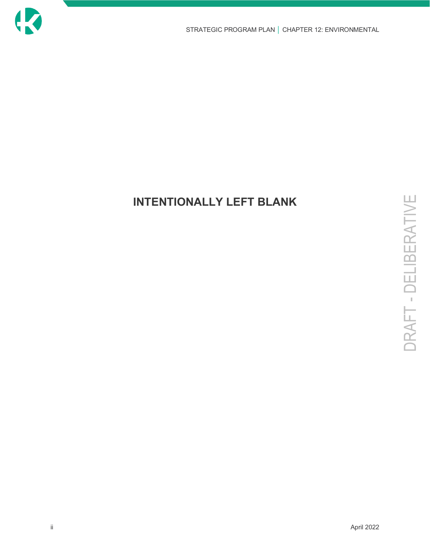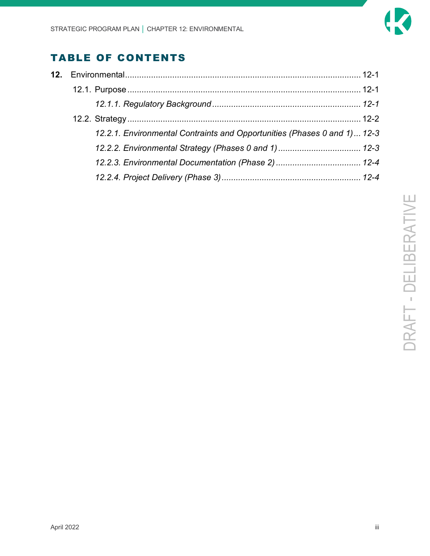

## TABLE OF CONTENTS

| 12.2.1. Environmental Contraints and Opportunities (Phases 0 and 1) 12-3 |
|--------------------------------------------------------------------------|
|                                                                          |
|                                                                          |
|                                                                          |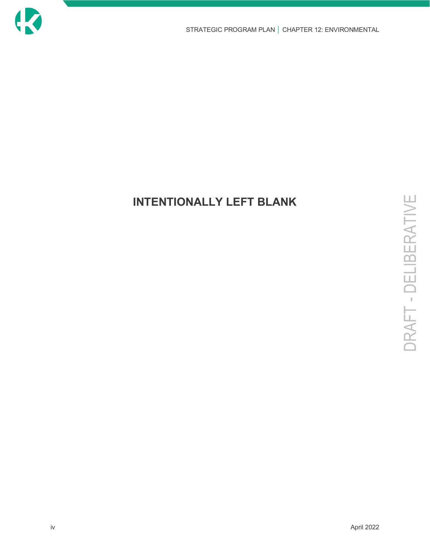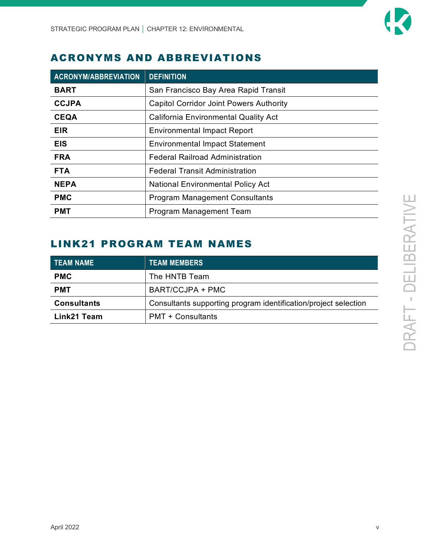

## ACRONYMS AND ABBREVIATIONS

| <b>ACRONYM/ABBREVIATION</b> | <b>DEFINITION</b>                              |
|-----------------------------|------------------------------------------------|
| <b>BART</b>                 | San Francisco Bay Area Rapid Transit           |
| <b>CCJPA</b>                | <b>Capitol Corridor Joint Powers Authority</b> |
| <b>CEQA</b>                 | <b>California Environmental Quality Act</b>    |
| <b>EIR</b>                  | <b>Environmental Impact Report</b>             |
| <b>EIS</b>                  | <b>Environmental Impact Statement</b>          |
| <b>FRA</b>                  | <b>Federal Railroad Administration</b>         |
| <b>FTA</b>                  | <b>Federal Transit Administration</b>          |
| <b>NEPA</b>                 | <b>National Environmental Policy Act</b>       |
| <b>PMC</b>                  | <b>Program Management Consultants</b>          |
| <b>PMT</b>                  | Program Management Team                        |

## LINK21 PROGRAM TEAM NAMES

| <b>TEAM NAME</b>   | <b>TEAM MEMBERS</b>                                             |  |
|--------------------|-----------------------------------------------------------------|--|
| <b>PMC</b>         | The HNTB Team                                                   |  |
| <b>PMT</b>         | <b>BART/CCJPA + PMC</b>                                         |  |
| <b>Consultants</b> | Consultants supporting program identification/project selection |  |
| Link21 Team        | <b>PMT + Consultants</b>                                        |  |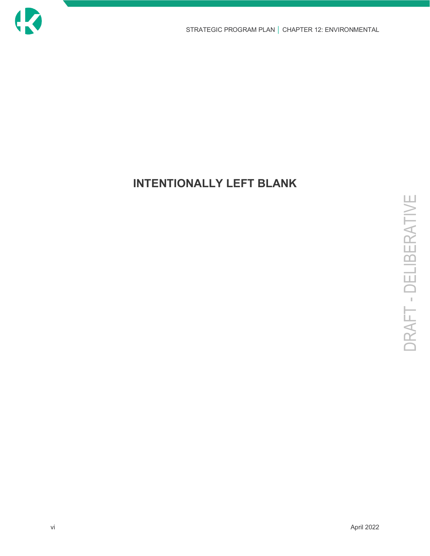

STRATEGIC PROGRAM PLAN | CHAPTER 12: ENVIRONMENTAL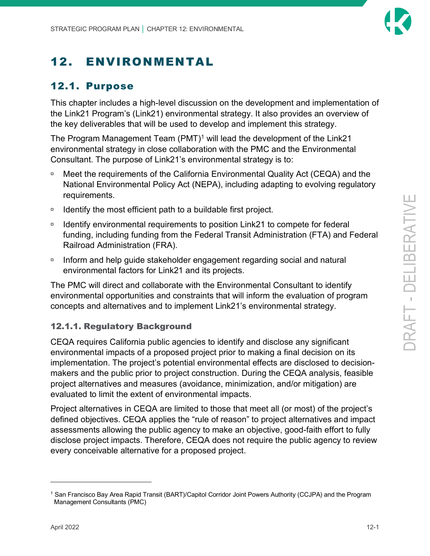# <span id="page-8-0"></span>12. ENVIRONMENTAL

## <span id="page-8-1"></span>12.1. Purpose

This chapter includes a high-level discussion on the development and implementation of the Link21 Program's (Link21) environmental strategy. It also provides an overview of the key deliverables that will be used to develop and implement this strategy.

The Program Management Team  $(PMT)^1$  $(PMT)^1$  will lead the development of the Link21 environmental strategy in close collaboration with the PMC and the Environmental Consultant. The purpose of Link21's environmental strategy is to:

- □ Meet the requirements of the California Environmental Quality Act (CEQA) and the National Environmental Policy Act (NEPA), including adapting to evolving regulatory requirements.
- Identify the most efficient path to a buildable first project.
- □ Identify environmental requirements to position Link21 to compete for federal funding, including funding from the Federal Transit Administration (FTA) and Federal Railroad Administration (FRA).
- □ Inform and help guide stakeholder engagement regarding social and natural environmental factors for Link21 and its projects.

The PMC will direct and collaborate with the Environmental Consultant to identify environmental opportunities and constraints that will inform the evaluation of program concepts and alternatives and to implement Link21's environmental strategy.

#### <span id="page-8-2"></span>12.1.1. Regulatory Background

CEQA requires California public agencies to identify and disclose any significant environmental impacts of a proposed project prior to making a final decision on its implementation. The project's potential environmental effects are disclosed to decisionmakers and the public prior to project construction. During the CEQA analysis, feasible project alternatives and measures (avoidance, minimization, and/or mitigation) are evaluated to limit the extent of environmental impacts.

Project alternatives in CEQA are limited to those that meet all (or most) of the project's defined objectives. CEQA applies the "rule of reason" to project alternatives and impact assessments allowing the public agency to make an objective, good-faith effort to fully disclose project impacts. Therefore, CEQA does not require the public agency to review every conceivable alternative for a proposed project.

<span id="page-8-3"></span><sup>1</sup> San Francisco Bay Area Rapid Transit (BART)/Capitol Corridor Joint Powers Authority (CCJPA) and the Program Management Consultants (PMC)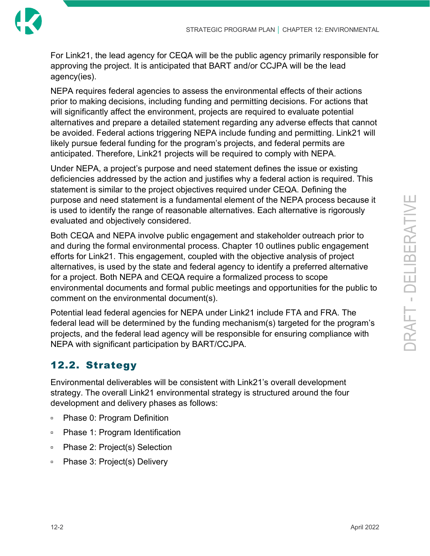

For Link21, the lead agency for CEQA will be the public agency primarily responsible for approving the project. It is anticipated that BART and/or CCJPA will be the lead agency(ies).

NEPA requires federal agencies to assess the environmental effects of their actions prior to making decisions, including funding and permitting decisions. For actions that will significantly affect the environment, projects are required to evaluate potential alternatives and prepare a detailed statement regarding any adverse effects that cannot be avoided. Federal actions triggering NEPA include funding and permitting. Link21 will likely pursue federal funding for the program's projects, and federal permits are anticipated. Therefore, Link21 projects will be required to comply with NEPA.

Under NEPA, a project's purpose and need statement defines the issue or existing deficiencies addressed by the action and justifies why a federal action is required. This statement is similar to the project objectives required under CEQA. Defining the purpose and need statement is a fundamental element of the NEPA process because it is used to identify the range of reasonable alternatives. Each alternative is rigorously evaluated and objectively considered.

Both CEQA and NEPA involve public engagement and stakeholder outreach prior to and during the formal environmental process. Chapter 10 outlines public engagement efforts for Link21. This engagement, coupled with the objective analysis of project alternatives, is used by the state and federal agency to identify a preferred alternative for a project. Both NEPA and CEQA require a formalized process to scope environmental documents and formal public meetings and opportunities for the public to comment on the environmental document(s).

Potential lead federal agencies for NEPA under Link21 include FTA and FRA. The federal lead will be determined by the funding mechanism(s) targeted for the program's projects, and the federal lead agency will be responsible for ensuring compliance with NEPA with significant participation by BART/CCJPA.

## <span id="page-9-0"></span>12.2. Strategy

Environmental deliverables will be consistent with Link21's overall development strategy. The overall Link21 environmental strategy is structured around the four development and delivery phases as follows:

- Phase 0: Program Definition
- □ Phase 1: Program Identification
- □ Phase 2: Project(s) Selection
- □ Phase 3: Project(s) Delivery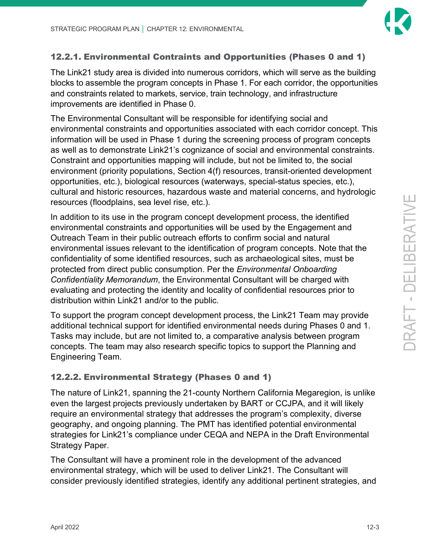

#### <span id="page-10-0"></span>12.2.1. Environmental Contraints and Opportunities (Phases 0 and 1)

The Link21 study area is divided into numerous corridors, which will serve as the building blocks to assemble the program concepts in Phase 1. For each corridor, the opportunities and constraints related to markets, service, train technology, and infrastructure improvements are identified in Phase 0.

The Environmental Consultant will be responsible for identifying social and environmental constraints and opportunities associated with each corridor concept. This information will be used in Phase 1 during the screening process of program concepts as well as to demonstrate Link21's cognizance of social and environmental constraints. Constraint and opportunities mapping will include, but not be limited to, the social environment (priority populations, Section 4(f) resources, transit-oriented development opportunities, etc.), biological resources (waterways, special-status species, etc.), cultural and historic resources, hazardous waste and material concerns, and hydrologic resources (floodplains, sea level rise, etc.).

In addition to its use in the program concept development process, the identified environmental constraints and opportunities will be used by the Engagement and Outreach Team in their public outreach efforts to confirm social and natural environmental issues relevant to the identification of program concepts. Note that the confidentiality of some identified resources, such as archaeological sites, must be protected from direct public consumption. Per the *Environmental Onboarding Confidentiality Memorandum*, the Environmental Consultant will be charged with evaluating and protecting the identity and locality of confidential resources prior to distribution within Link21 and/or to the public.

To support the program concept development process, the Link21 Team may provide additional technical support for identified environmental needs during Phases 0 and 1. Tasks may include, but are not limited to, a comparative analysis between program concepts. The team may also research specific topics to support the Planning and Engineering Team.

#### <span id="page-10-1"></span>12.2.2. Environmental Strategy (Phases 0 and 1)

The nature of Link21, spanning the 21-county Northern California Megaregion, is unlike even the largest projects previously undertaken by BART or CCJPA, and it will likely require an environmental strategy that addresses the program's complexity, diverse geography, and ongoing planning. The PMT has identified potential environmental strategies for Link21's compliance under CEQA and NEPA in the Draft Environmental Strategy Paper.

The Consultant will have a prominent role in the development of the advanced environmental strategy, which will be used to deliver Link21. The Consultant will consider previously identified strategies, identify any additional pertinent strategies, and